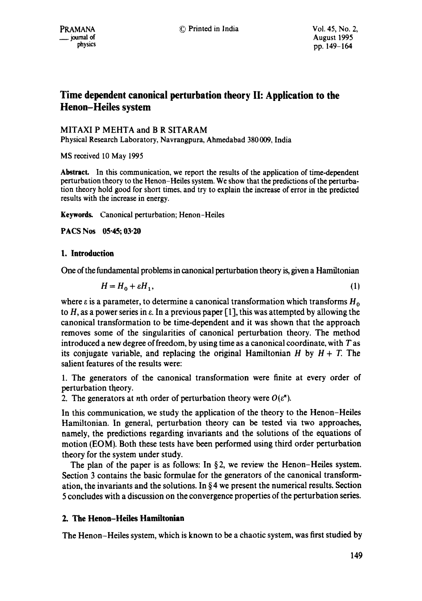# **Time dependent canonical perturbation theory II: Application to the Henon-Heiles system**

MITAXI P MEHTA and B R SITARAM Physical Research Laboratory, Navrangpura, Ahmedabad 380 009, India

MS received 10 May 1995

Abstract. In this communication, we report the results of the application of time-dependent perturbation theory to the Henon-Heiles system. We show that the predictions of the perturbation theory hold good for short times, and try to explain the increase of error in the predicted results with the increase in energy.

**Keywords.** Canonical perturbation; Henon-Heiles

**PACS Nos 05"45; 03"20** 

## **1.** Introduction

One of the fundamental problems in canonical perturbation theory is, given a Hamiltonian

$$
H = H_0 + \varepsilon H_1,\tag{1}
$$

where  $\varepsilon$  is a parameter, to determine a canonical transformation which transforms  $H_0$ to H, as a power series in  $\varepsilon$ . In a previous paper [1], this was attempted by allowing the canonical transformation to be time-dependent and it was shown that the approach removes some of the singularities of canonical perturbation theory. The method introduced a new degree of freedom, by using time as a canonical coordinate, with T as its conjugate variable, and replacing the original Hamiltonian  $H$  by  $H + T$ . The salient features of the results were:

1. The generators of the canonical transformation were finite at every order of perturbation theory.

2. The generators at nth order of perturbation theory were  $O(\varepsilon^n)$ .

In this communication, we study the application of the theory to the Henon-Heiles Hamiltonian. In general, perturbation theory can be tested via two approaches, namely, the predictions regarding invariants and the solutions of the equations of motion (EOM). Both these tests have been performed using third order perturbation theory for the system under study.

The plan of the paper is as follows: In  $\S 2$ , we review the Henon-Heiles system. Section 3 contains the basic formulae for the generators of the canonical transformation, the invariants and the solutions. In  $\S 4$  we present the numerical results. Section 5 concludes with a discussion on the convergence properties of the perturbation series.

## **2. The Henon-Heiles Hamiltonian**

The Henon-Heiles system, which is known to be a chaotic system, was first studied by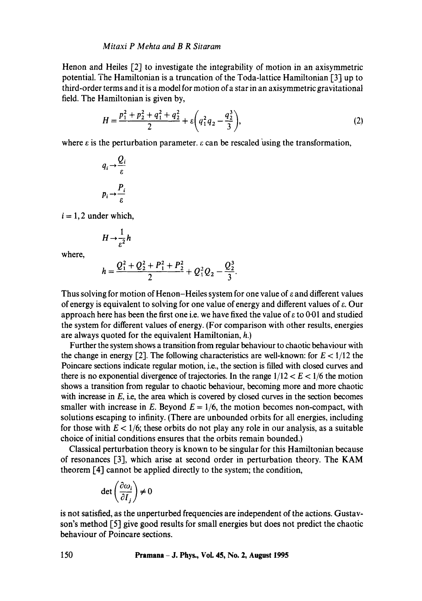Henon and Heiles [2] to investigate the integrability of motion in an axisymmetric potential. The Hamiltonian is a truncation of the Toda-lattice Hamiltonian [3] up to third-order terms and it is a model for motion of a star in an axisymmetric gravitational field. The Hamiltonian is given by,

$$
H = \frac{p_1^2 + p_2^2 + q_1^2 + q_2^2}{2} + \varepsilon \left( q_1^2 q_2 - \frac{q_2^3}{3} \right),\tag{2}
$$

where  $\varepsilon$  is the perturbation parameter.  $\varepsilon$  can be rescaled using the transformation,

$$
q_i \rightarrow \frac{Q_i}{\varepsilon}
$$

$$
p_i \rightarrow \frac{P_i}{\varepsilon}
$$

 $i = 1, 2$  under which,

$$
H\rightarrow \frac{1}{\varepsilon^2}h
$$

where,

$$
h=\frac{Q_1^2+Q_2^2+P_1^2+P_2^2}{2}+Q_1^2Q_2-\frac{Q_2^3}{3}.
$$

Thus solving for motion of Henon-Heiles system for one value of  $\varepsilon$  and different values of energy is equivalent to solving for one value of energy and different values of  $\varepsilon$ . Our approach here has been the first one i.e. we have fixed the value of  $\varepsilon$  to 0.01 and studied the system for different values of energy. (For comparison with other results, energies are always quoted for the equivalent Hamiltonian, h.)

Further the system shows a transition from regular behaviour to chaotic behaviour with the change in energy [2]. The following characteristics are well-known: for  $E < 1/12$  the Poincare sections indicate regular motion, i.e., the section is filled with closed curves and there is no exponential divergence of trajectories. In the range  $1/12 < E < 1/6$  the motion shows a transition from regular to chaotic behaviour, becoming more and more chaotic with increase in  $E$ , i.e, the area which is covered by closed curves in the section becomes smaller with increase in E. Beyond  $E = 1/6$ , the motion becomes non-compact, with solutions escaping to infinity. (There are unbounded orbits for all energies, including for those with  $E < 1/6$ ; these orbits do not play any role in our analysis, as a suitable choice of initial conditions ensures that the orbits remain bounded.)

Classical perturbation theory is known to be singular for this Hamiltonian because of resonances [3], which arise at second order in perturbation theory. The KAM theorem [4] cannot be applied directly to the system; the condition,

$$
\det\left(\frac{\partial \omega_i}{\partial I_j}\right) \neq 0
$$

is not satisfied, as the unperturbed frequencies are independent of the actions. Gustavson's method [5] give good results for small energies but does not predict the chaotic behaviour of Poincare sections.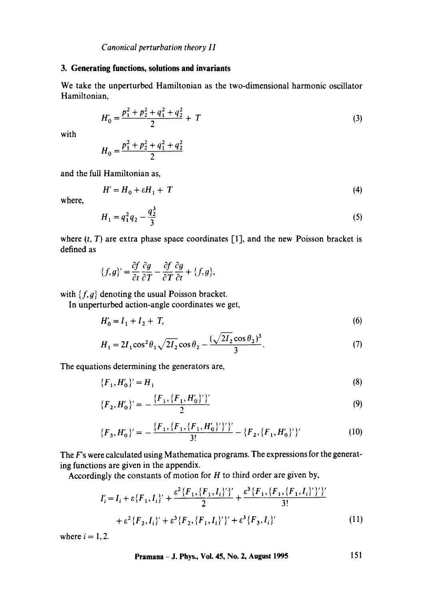#### **3. Generating functions, solutions and invariants**

We take the unperturbed Hamiltonian as the two-dimensional harmonic oscillator Hamiltonian,

$$
H_0' = \frac{p_1^2 + p_2^2 + q_1^2 + q_2^2}{2} + T \tag{3}
$$

with

$$
H_0 = \frac{p_1^2 + p_2^2 + q_1^2 + q_2^2}{2}
$$

and the full Hamiltonian as,

$$
H' = H_0 + \varepsilon H_1 + T \tag{4}
$$

where,

$$
H_1 = q_1^2 q_2 - \frac{q_2^3}{3} \tag{5}
$$

where  $(t, T)$  are extra phase space coordinates [1], and the new Poisson bracket is defined as

$$
\{f,g\}'=\frac{\partial f}{\partial t}\frac{\partial g}{\partial T}-\frac{\partial f}{\partial T}\frac{\partial g}{\partial t}+\{f,g\},\
$$

with  $\{f, g\}$  denoting the usual Poisson bracket.

**In unperturbed action-angle coordinates we get,** 

$$
H'_0 = I_1 + I_2 + T,\t\t(6)
$$

$$
H_1 = 2I_1 \cos^2 \theta_1 \sqrt{2I_2} \cos \theta_2 - \frac{(\sqrt{2I_2 \cos \theta_2})^3}{3}.
$$
 (7)

The equations determining the generators are,

$$
\{F_1, H'_0\}' = H_1 \tag{8}
$$

$$
\{F_2, H'_0\}' = -\frac{\{F_1, \{F_1, H'_0\}'\}}{2} \tag{9}
$$

$$
\{F_3, H'_0\}' = -\frac{\{F_1, \{F_1, \{F_1, H'_0\}'\}'\}}{3!} - \{F_2, \{F_1, H'_0\}'\}'}{(10)}
$$

The F's were calculated using Mathematica programs. The expressions for the generating functions are given in the appendix.

Accordingly the constants of motion for  $H$  to third order are given by,

$$
I'_{i} = I_{i} + \varepsilon \{F_{1}, I_{i}\}' + \frac{\varepsilon^{2} \{F_{1}, \{F_{1}, I_{i}\}'\}'}{2} + \frac{\varepsilon^{3} \{F_{1}, \{F_{1}, \{F_{1}, I_{i}\}'\}'\}}{3!} + \varepsilon^{2} \{F_{2}, I_{i}\}' + \varepsilon^{3} \{F_{2}, \{F_{1}, I_{i}\}'\}' + \varepsilon^{3} \{F_{3}, I_{i}\}'
$$
(11)

where  $i = 1, 2$ .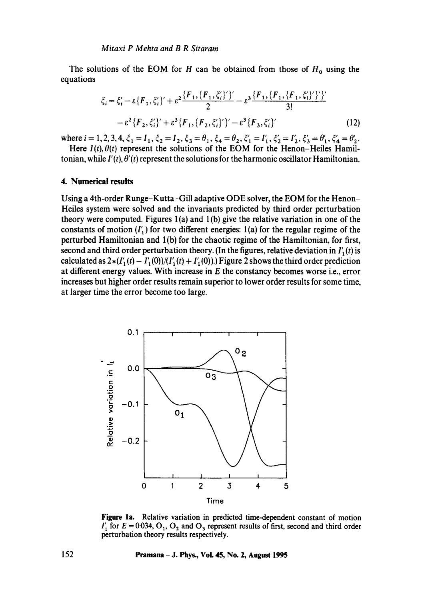The solutions of the EOM for H can be obtained from those of  $H_0$  using the equations

$$
\xi_i = \xi'_i - \varepsilon \{F_1, \xi'_i\}' + \varepsilon^2 \frac{\{F_1, \{F_1, \xi'_i\}'\}'}{2} - \varepsilon^3 \frac{\{F_1, \{F_1, \{F_1, \xi'_i\}'\}'\}'}{3!} - \varepsilon^2 \{F_2, \xi'_i\}' + \varepsilon^3 \{F_1, \{F_2, \xi'_i\}'\}' - \varepsilon^3 \{F_3, \xi'_i\}' \tag{12}
$$

where  $i = 1, 2, 3, 4, \xi_1 = I_1, \xi_2 = I_2, \xi_3 = \theta_1, \xi_4 = \theta_2, \xi_1' = I_1', \xi_2' = I_2', \xi_3' = \theta_1', \xi_4' = \theta_2'.$ 

Here  $I(t)$ ,  $\theta(t)$  represent the solutions of the EOM for the Henon–Heiles Hamiltonian, while  $I'(t)$ ,  $\theta'(t)$  represent the solutions for the harmonic oscillator Hamiltonian.

#### **4. Numerical results**

Using a 4th-order Runge-Kutta-Gill adaptive ODE solver, the EOM for the Henon-Heiles system were solved and the invariants predicted by third order perturbation theory were computed. Figures  $1(a)$  and  $1(b)$  give the relative variation in one of the constants of motion  $(I'_1)$  for two different energies: 1(a) for the regular regime of the perturbed Hamiltonian and 1 (b) for the chaotic regime of the Hamiltonian, for first, second and third order perturbation theory. (In the figures, relative deviation in  $I'_{1}(t)$  is calculated as  $2*(I'_{1}(t) - I'_{1}(0))/(I'_{1}(t) + I'_{1}(0))$ .) Figure 2 shows the third order prediction at different energy values. With increase in  $E$  the constancy becomes worse i.e., error increases but higher order results remain superior to lower order results for some time, at larger time the error become too large.



**Figure** la. Relative variation in predicted time-dependent constant of motion  $I'_1$  for  $E = 0.034$ ,  $O_1$ ,  $O_2$  and  $O_3$  represent results of first, second and third order perturbation theory results respectively.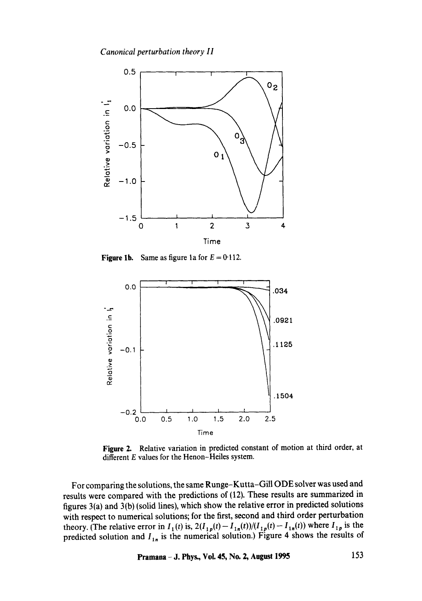

**Figure 1b.** Same as figure 1a for  $E = 0.112$ .



**Figure 2. Relative variation in predicted constant of motion at third order, at different E values for the Henon-Heiles system.** 

**For comparing the solutions, the same Runge-Kutta-Gill ODE solver was used and results were compared with the predictions of (12). These results are summarized in figures 3(a) and 3(b) (solid lines), which show the relative error in predicted solutions with respect to numerical solutions; for the first, second and third order perturbation**  theory. (The relative error in  $I_1(t)$  is,  $2(I_{1p}(t)- I_{1n}(t))/(I_{1p}(t)- I_{1n}(t))$  where  $I_{1p}$  is the predicted solution and  $I_{1n}$  is the numerical solution.) Figure 4 shows the results of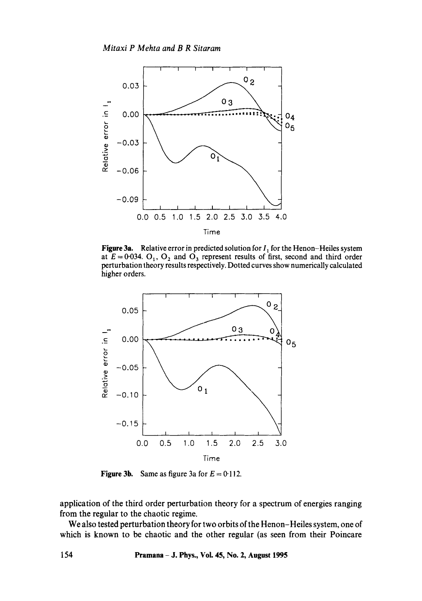

**Figure 3a.** Relative error in predicted solution for  $I_1$  for the Henon-Heiles system at  $E = 0.034$ . O<sub>1</sub>, O<sub>2</sub> and O<sub>3</sub> represent results of first, second and third order perturbation theory results respectively. Dotted curves show numerically calculated higher orders.



**Figure 3b.** Same as figure 3a for  $E = 0.112$ .

application of the third order perturbation theory for a spectrum of energies ranging from the regular to the chaotic regime.

We also tested perturbation theory for two orbits of the Henon-Heiles system, one of which is known to be chaotic and the other regular (as seen from their Poincare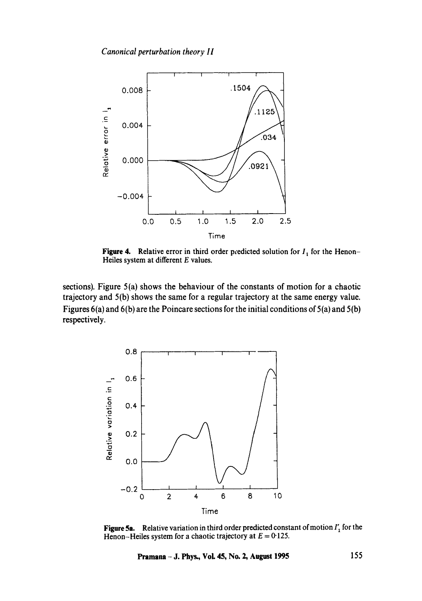

**Figure 4.** Relative error in third order predicted solution for  $I_1$  for the Henon-**Heiles system at different E values.** 

**sections). Figure 5(a) shows the behaviour of the constants of motion for a chaotic trajectory and 5(b) shows the same for a regular trajectory at the same energy value. Figures 6(a) and 6(b) are the Poincare sections for the initial conditions of 5 (a) and 5(b) respectively.** 



**Figure 5a.** Relative variation in third order predicted constant of motion  $I'_1$  for the Henon-Heiles system for a chaotic trajectory at  $E = 0.125$ .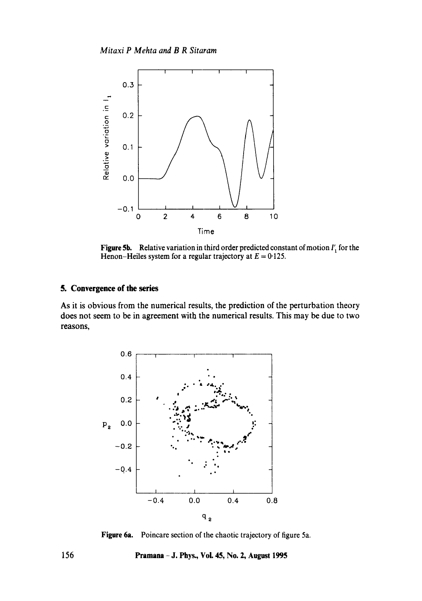

**Figure 5b.** Relative variation in third order predicted constant of motion *I'*, for the Henon-Heiles system for a regular trajectory at  $E = 0.125$ .

### **5. Convergence of the series**

As it is obvious from the numerical results, the prediction of the perturbation theory does not seem to be in agreement with the numerical results. This may be due to two reasons,



**Figure** 6a. Poincare section of the chaotic trajectory of figure 5a.

**156 Pramana -J. Phys., Voi. 45, No. 2, August 1995**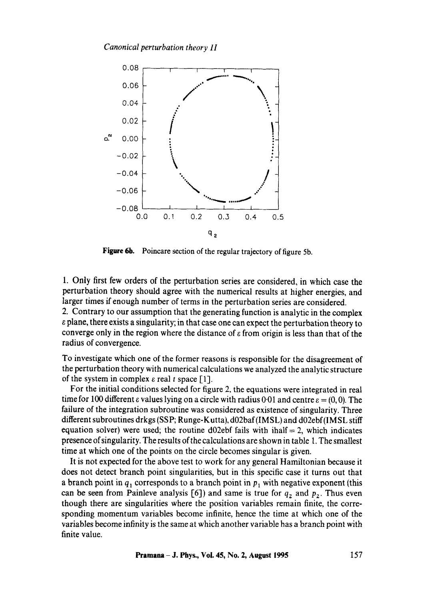

**Figure 6b.** Poincare section of the regular trajectory of figure 5b.

1. Only first few orders of the perturbation series are considered, in which case the perturbation theory should agree with the numerical results at higher energies, and larger times if enough number of terms in the perturbation series are considered.

2. Contrary to our assumption that the generating function is analytic in the complex  $\varepsilon$  plane, there exists a singularity; in that case one can expect the perturbation theory to converge only in the region where the distance of  $\varepsilon$  from origin is less than that of the radius of convergence.

To investigate which one of the former reasons is responsible for the disagreement of the perturbation theory with numerical calculations we analyzed the analytic structure of the system in complex  $\varepsilon$  real t space [1].

For the initial conditions selected for figure 2, the equations were integrated in real time for 100 different  $\varepsilon$  values lying on a circle with radius 0.01 and centre  $\varepsilon = (0,0)$ . The failure of the integration subroutine was considered as existence of singularity. Three different subroutines drkgs (SSP; Runge-Kutta), d02baf(IMSL) and d02ebf(IMSL stiff equation solver) were used; the routine d02ebf fails with ihalf  $= 2$ , which indicates presence of singularity. The results of the calculations are shown in table 1. The smallest time at which one of the points on the circle becomes singular is given.

It is not expected for the above test to work for any general Hamiltonian because it does not detect branch point singularities, but in this specific case it turns out that a branch point in  $q_1$  corresponds to a branch point in  $p_1$  with negative exponent (this can be seen from Painleve analysis  $[6]$ ) and same is true for  $q_2$  and  $p_2$ . Thus even though there are singularities where the position variables remain finite, the corresponding momentum variables become infinite, hence the time at which one of the variables become infinity is the same at which another variable has a branch point with finite value.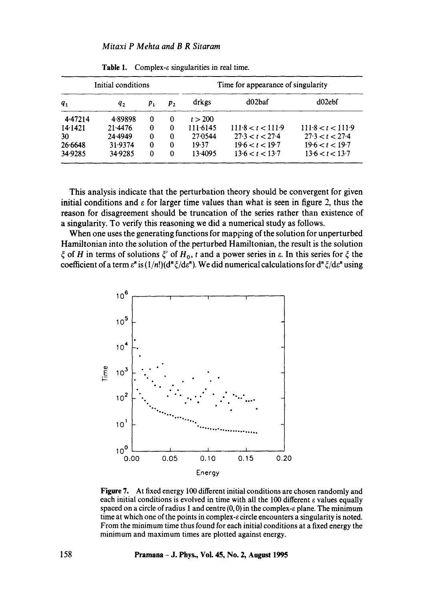| Initial conditions |         |    |         | Time for appearance of singularity |                   |                   |
|--------------------|---------|----|---------|------------------------------------|-------------------|-------------------|
| $q_1$              | q,      | p, | $p_{2}$ | drkgs                              | d02baf            | d02ebf            |
| 4.47214            | 4.89898 | 0  | 0       | t > 200                            |                   |                   |
| 14.1421            | 21.4476 | 0  | 0       | 111.6145                           | 111.8 < t < 111.9 | 111.8 < t < 111.9 |
| 30                 | 24.4949 | 0  | 0       | 27.0544                            | 27.3 < t < 27.4   | 27.3 < t < 27.4   |
| 26.6648            | 31.9374 | 0  | 0       | 19.37                              | 19.6 < t < 19.7   | 19.6 < t < 19.7   |
| 34.9285            | 34.9285 | 0  | 0       | 13.4095                            | 13.6 < t < 13.7   | 13.6 < t < 13.7   |

**Table 1.** Complex-e singularities in real time.

This analysis indicate that the perturbation theory should be convergent for given initial conditions and  $\epsilon$  for larger time values than what is seen in figure 2, thus the reason for disagreement should be truncation of the series rather than existence of a singularity. To verify this reasoning we did a numerical study as follows.

When one uses the generating functions for mapping of the solution for unperturbed Hamiltonian into the solution of the perturbed Hamiltonian, the result is the solution  $\zeta$  of H in terms of solutions  $\zeta'$  of  $H_0$ , t and a power series in  $\varepsilon$ . In this series for  $\zeta$  the coefficient of a term  $\varepsilon^n$  is  $(1/n!)(d^n \xi/d\varepsilon^n)$ . We did numerical calculations for  $d^n \xi/d\varepsilon^n$  using



**Figure** 7. At fixed energy 100 different initial conditions are chosen randomly and each initial conditions is evolved in time with all the 100 different  $\varepsilon$  values equally spaced on a circle of radius 1 and centre  $(0, 0)$  in the complex- $\varepsilon$  plane. The minimum time at which one of the points in complex-e circle encounters a singularity is noted. From the minimum time thus found for each initial conditions at a fixed energy the minimum and maximum times are plotted against energy.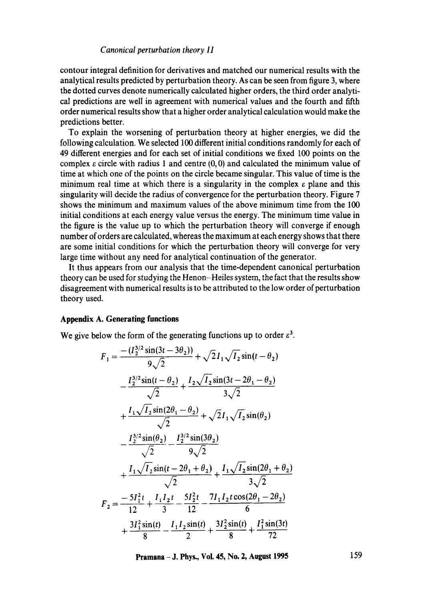contour integral definition for derivatives and matched our numerical results with the analytical results predicted by perturbation theory. As can be seen from figure 3, where the dotted curves denote numerically calculated higher orders, the third order analytical predictions are well in agreement with numerical values and the fourth and fifth order numerical results show that a higher order analytical calculation would make the predictions better.

To explain the worsening of perturbation theory at higher energies, we did the following calculation. We selected 100 different initial conditions randomly for each of 49 different energies and for each set of initial conditions we fixed 100 points on the complex  $\varepsilon$  circle with radius 1 and centre (0,0) and calculated the minimum value of time at which one of the points on the circle became singular. This value of time is the minimum real time at which there is a singularity in the complex  $\varepsilon$  plane and this singularity will decide the radius of convergence for the perturbation theory. Figure 7 shows the minimum and maximum values of the above minimum time from the 100 initial conditions at each energy value versus the energy. The minimum time value in the figure is the value up to which the perturbation theory will converge if enough number of orders are calculated, whereas the maximum at each energy shows that there are some initial conditions for which the perturbation theory will converge for very large time without any need for analytical continuation of the generator.

It thus appears from our analysis that the time-dependent canonical perturbation theory can be used for studying the Henon-Heiles system, the fact that the results show disagreement with numerical results is to be attributed to the low order of perturbation theory used.

#### **Appendix A. Generating functions**

We give below the form of the generating functions up to order  $\varepsilon^3$ .

$$
F_1 = \frac{-(I_2^{3/2} \sin(3t - 3\theta_2))}{9\sqrt{2}} + \sqrt{2}I_1\sqrt{I_2} \sin(t - \theta_2)
$$
  
\n
$$
-\frac{I_2^{3/2} \sin(t - \theta_2)}{\sqrt{2}} + \frac{I_2\sqrt{I_2} \sin(3t - 2\theta_1 - \theta_2)}{3\sqrt{2}}
$$
  
\n
$$
+\frac{I_1\sqrt{I_2} \sin(2\theta_1 - \theta_2)}{\sqrt{2}} + \sqrt{2}I_1\sqrt{I_2} \sin(\theta_2)
$$
  
\n
$$
-\frac{I_2^{3/2} \sin(\theta_2)}{\sqrt{2}} - \frac{I_2^{3/2} \sin(3\theta_2)}{9\sqrt{2}}
$$
  
\n
$$
+\frac{I_1\sqrt{I_2} \sin(t - 2\theta_1 + \theta_2)}{\sqrt{2}} + \frac{I_1\sqrt{I_2} \sin(2\theta_1 + \theta_2)}{3\sqrt{2}}
$$
  
\n
$$
F_2 = \frac{-5I_1^2t}{12} + \frac{I_1I_2t}{3} - \frac{5I_2^2t}{12} - \frac{7I_1I_2t \cos(2\theta_1 - 2\theta_2)}{6}
$$
  
\n
$$
+\frac{3I_1^2 \sin(t)}{8} - \frac{I_1I_2 \sin(t)}{2} + \frac{3I_2^2 \sin(t)}{8} + \frac{I_1^2 \sin(3t)}{72}
$$

**Pramana - J. Phys., Vol. 45, No. 2, August 1995** 159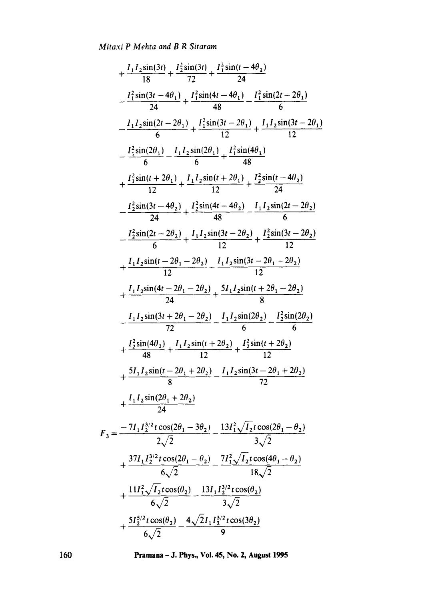$$
+\frac{I_1I_2\sin(3t)}{18} + \frac{I_2^2\sin(3t)}{72} + \frac{I_1^2\sin(t-4\theta_1)}{24}
$$
\n
$$
-\frac{I_1^2\sin(3t-4\theta_1)}{24} + \frac{I_1^2\sin(4t-4\theta_1)}{48} - \frac{I_1^2\sin(2t-2\theta_1)}{6}
$$
\n
$$
-\frac{I_1I_2\sin(2t-2\theta_1)}{6} + \frac{I_1^2\sin(3t-2\theta_1)}{12} + \frac{I_1I_2\sin(3t-2\theta_1)}{12}
$$
\n
$$
-\frac{I_1^2\sin(2\theta_1)}{6} + \frac{I_1I_2\sin(2\theta_1)}{6} + \frac{I_1^2\sin(4\theta_1)}{48}
$$
\n
$$
+\frac{I_1^2\sin(t+2\theta_1)}{12} + \frac{I_1I_2\sin(t+2\theta_1)}{12} + \frac{I_2^2\sin(t-4\theta_2)}{24}
$$
\n
$$
-\frac{I_2^2\sin(3t-4\theta_2)}{24} + \frac{I_2^2\sin(4t-4\theta_2)}{48} - \frac{I_1I_2\sin(2t-2\theta_2)}{6}
$$
\n
$$
-\frac{I_2^2\sin(2t-2\theta_2)}{24} + \frac{I_1I_2\sin(3t-2\theta_2)}{12} + \frac{I_2^2\sin(3t-2\theta_2)}{12} + \frac{I_1I_2\sin(t-2\theta_1-2\theta_2)}{12}
$$
\n
$$
+\frac{I_1I_2\sin(t-2\theta_1-2\theta_2)}{24} - \frac{I_1I_2\sin(3t-2\theta_1-2\theta_2)}{6}
$$
\n
$$
-\frac{I_1I_2\sin(3t+2\theta_1-2\theta_2)}{72} - \frac{I_1I_2\sin(2\theta_2)}{6} - \frac{I_2^2\sin(2\theta_2)}{6}
$$
\n
$$
+\frac{I_2^2\sin(4\theta_2)}{48} + \
$$

**Pramaaa - d. Phys., Vol. 45, No. 2, August 1995** 

160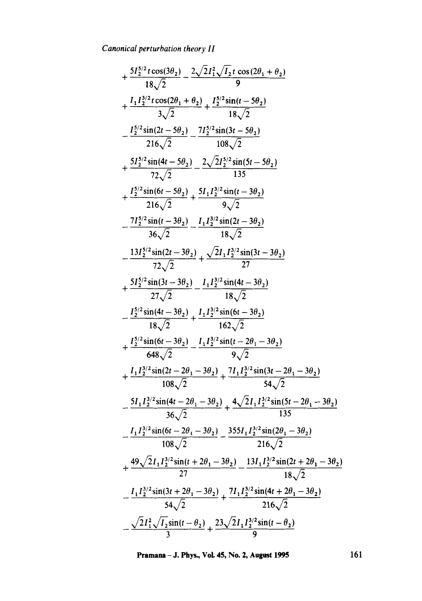+ 
$$
\frac{5I_{2}^{5/2}t\cos(3\theta_{2})}{18\sqrt{2}} - \frac{2\sqrt{2}I_{1}^{2}\sqrt{I_{2}}t\cos(2\theta_{1} + \theta_{2})}{9}
$$
  
+ 
$$
\frac{I_{1}I_{2}^{3/2}t\cos(2\theta_{1} + \theta_{2})}{3\sqrt{2}} + \frac{I_{2}^{5/2}\sin(t - 5\theta_{2})}{18\sqrt{2}}
$$
  
- 
$$
\frac{I_{2}^{5/2}\sin(2t - 5\theta_{2})}{216\sqrt{2}} - \frac{7I_{2}^{5/2}\sin(3t - 5\theta_{2})}{108\sqrt{2}}
$$
  
+ 
$$
\frac{5I_{2}^{5/2}\sin(4t - 5\theta_{2})}{72\sqrt{2}} - \frac{2\sqrt{2}I_{2}^{5/2}\sin(5t - 5\theta_{2})}{135}
$$
  
+ 
$$
\frac{I_{2}^{5/2}\sin(6t - 5\theta_{2})}{216\sqrt{2}} + \frac{5I_{1}I_{2}^{3/2}\sin(t - 3\theta_{2})}{9\sqrt{2}}
$$
  
- 
$$
\frac{7I_{2}^{5/2}\sin(t - 3\theta_{2})}{36\sqrt{2}} - \frac{I_{1}I_{2}^{3/2}\sin(2t - 3\theta_{2})}{18\sqrt{2}}
$$
  
+ 
$$
\frac{13I_{2}^{5/2}\sin(3t - 3\theta_{2})}{72\sqrt{2}} + \frac{\sqrt{2}I_{1}I_{2}^{3/2}\sin(3t - 3\theta_{2})}{18\sqrt{2}}
$$
  
+ 
$$
\frac{5I_{2}^{5/2}\sin(3t - 3\theta_{2})}{27\sqrt{2}} - \frac{I_{1}I_{2}^{3/2}\sin(4t - 3\theta_{2})}{162\sqrt{2}}
$$
  
+ 
$$
\frac{I_{2}^{5/2}\sin(4t - 3\theta_{2})}{18\sqrt{2}} + \frac{I_{1}I_{2}^{3/2}\sin(t - 2\theta_{1} - 3\theta_{2})}{162\sqrt{2}}
$$
  
+ 
$$
\frac{I_{2}^{5/2}\sin(t - 3\theta_{2})}{648\sqrt{2}} - \frac{I_{1}I
$$

**Pramana - J. Phys., Vol. 45, No. 2, August 1995** 161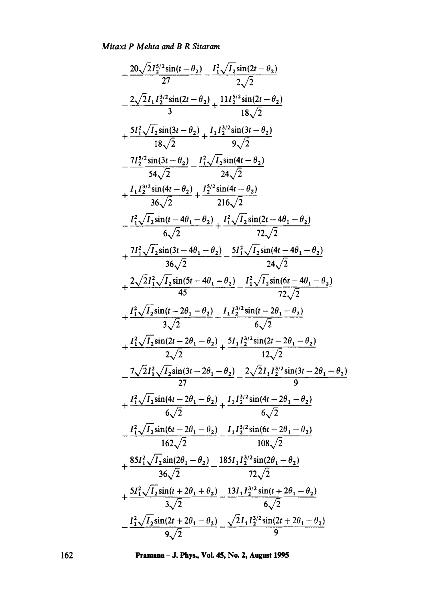$$
-\frac{20\sqrt{2}I_{2}^{5/2}\sin(t-\theta_{2})}{27}-\frac{I_{1}^{2}\sqrt{I_{2}}\sin(2t-\theta_{2})}{2\sqrt{2}}\\-\frac{2\sqrt{2}I_{1}I_{2}^{3/2}\sin(2t-\theta_{2})}{3}+\frac{11I_{2}^{5/2}\sin(2t-\theta_{2})}{18\sqrt{2}}\\+\frac{5I_{1}^{2}\sqrt{I_{2}}\sin(3t-\theta_{2})}{18\sqrt{2}}+\frac{I_{1}I_{2}^{3/2}\sin(3t-\theta_{2})}{54\sqrt{2}}\\-\frac{7I_{2}^{5/2}\sin(3t-\theta_{2})}{54\sqrt{2}}-\frac{I_{1}^{2}\sqrt{I_{2}}\sin(4t-\theta_{2})}{24\sqrt{2}}\\+\frac{I_{1}I_{2}^{3/2}\sin(4t-\theta_{2})}{36\sqrt{2}}+\frac{I_{2}^{5/2}\sin(4t-\theta_{2})}{216\sqrt{2}}\\-\frac{I_{1}^{2}\sqrt{I_{2}}\sin(t-4\theta_{1}-\theta_{2})}{6\sqrt{2}}+\frac{I_{1}^{2}\sqrt{I_{2}}\sin(2t-4\theta_{1}-\theta_{2})}{72\sqrt{2}}\\+\frac{7I_{1}^{2}\sqrt{I_{2}}\sin(3t-4\theta_{1}-\theta_{2})}{36\sqrt{2}}-\frac{5I_{1}^{2}\sqrt{I_{2}}\sin(4t-4\theta_{1}-\theta_{2})}{24\sqrt{2}}\\+\frac{2\sqrt{2}I_{1}^{2}\sqrt{I_{2}}\sin(5t-4\theta_{1}-\theta_{2})}{45}-\frac{I_{1}^{2}\sqrt{I_{2}}\sin(6t-4\theta_{1}-\theta_{2})}{72\sqrt{2}}\\+\frac{I_{1}^{2}\sqrt{I_{2}}\sin(t-2\theta_{1}-\theta_{2})}{4\sqrt{2}}-\frac{I_{1}I_{2}^{3/2}\sin(t-2\theta_{1}-\theta_{2})}{3\sqrt{2}}\\+\frac{I_{1}^{2}\sqrt{I_{2}}\sin(2t-2\theta_{1}-\theta_{2})}{2\sqrt{2}}+\frac{I_{1}I_{2}^{3/2}\sin(2t-2\theta_{1}-\theta_{2})}{2\sqrt{2}}\\-\frac{7\sqrt{2}I_{1}^{2}\sqrt{I_{2}}\sin(
$$

**162 Pramana - J. Phys., VoL 45, No. 2, August 1995**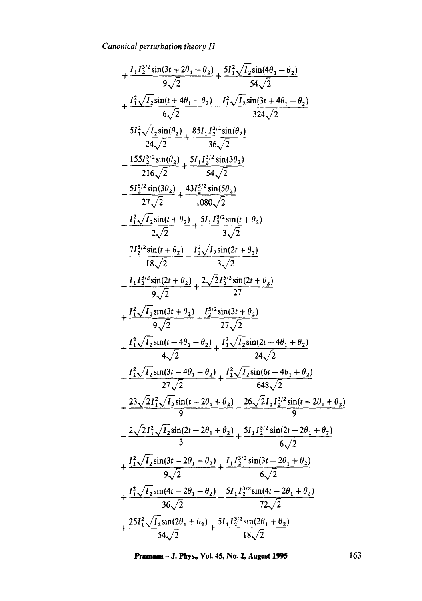+ 
$$
\frac{I_1 I_2^{3/2} \sin(3t + 2\theta_1 - \theta_2)}{9\sqrt{2}} + \frac{5I_1^2 \sqrt{I_2} \sin(4\theta_1 - \theta_2)}{54\sqrt{2}}
$$
  
+  $\frac{I_1^2 \sqrt{I_2} \sin(t + 4\theta_1 - \theta_2)}{6\sqrt{2}} - \frac{I_1^2 \sqrt{I_2} \sin(3t + 4\theta_1 - \theta_2)}{324\sqrt{2}}$   
-  $\frac{5I_1^2 \sqrt{I_2} \sin(\theta_2)}{24\sqrt{2}} + \frac{85I_1 I_2^{3/2} \sin(\theta_2)}{36\sqrt{2}}$   
-  $\frac{155I_2^{5/2} \sin(\theta_2)}{216\sqrt{2}} + \frac{5I_1 I_2^{3/2} \sin(3\theta_2)}{54\sqrt{2}}$   
-  $\frac{155I_2^{5/2} \sin(3\theta_2)}{27\sqrt{2}} + \frac{43I_2^{5/2} \sin(5\theta_2)}{1080\sqrt{2}}$   
-  $\frac{I_1^2 \sqrt{I_2} \sin(t + \theta_2)}{2\sqrt{2}} + \frac{5I_1 I_2^{3/2} \sin(t + \theta_2)}{3\sqrt{2}}$   
-  $\frac{I_1 I_2^{3/2} \sin(t + \theta_2)}{18\sqrt{2}} - \frac{I_1^2 \sqrt{I_2} \sin(2t + \theta_2)}{3\sqrt{2}}$   
-  $\frac{I_1 I_2^{3/2} \sin(t + \theta_2)}{9\sqrt{2}} - \frac{I_2^2 \sqrt{I_2^{5/2} \sin(t + \theta_2)}}{27}$   
+  $\frac{I_1^2 \sqrt{I_2} \sin(3t + \theta_2)}{9\sqrt{2}} - \frac{I_2^{5/2} \sin(3t + \theta_2)}{27\sqrt{2}}$   
+  $\frac{I_1^2 \sqrt{I_2} \sin(3t - 4\theta_1 + \theta_2)}{4\sqrt{2}} + \frac{I_2^2 \sqrt{I_2} \sin(2t - 4\theta_1 + \theta_2)}{24\sqrt{2}}$   
-  $\frac{I_1^2 \sqrt{I_2} \$ 

**Pramana - J. Phys., Vol. 45, No. 2, August 1995** 163